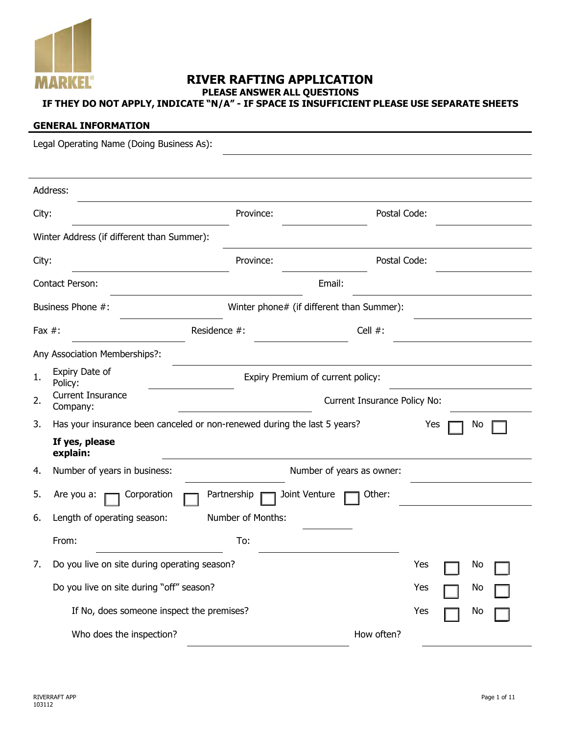

# **RIVER RAFTING APPLICATION PLEASE ANSWER ALL QUESTIONS**

# **IF THEY DO NOT APPLY, INDICATE "N/A" - IF SPACE IS INSUFFICIENT PLEASE USE SEPARATE SHEETS**

## **GENERAL INFORMATION**

|           | Legal Operating Name (Doing Business As):                                |                                   |                                           |                  |  |  |
|-----------|--------------------------------------------------------------------------|-----------------------------------|-------------------------------------------|------------------|--|--|
|           |                                                                          |                                   |                                           |                  |  |  |
|           | Address:                                                                 |                                   |                                           |                  |  |  |
| City:     |                                                                          | Province:                         | Postal Code:                              |                  |  |  |
|           | Winter Address (if different than Summer):                               |                                   |                                           |                  |  |  |
| City:     |                                                                          | Province:                         | Postal Code:                              |                  |  |  |
|           | Contact Person:                                                          |                                   | Email:                                    |                  |  |  |
|           | Business Phone #:                                                        |                                   | Winter phone# (if different than Summer): |                  |  |  |
| Fax $#$ : |                                                                          | Residence #:                      | Cell $#$ :                                |                  |  |  |
|           | Any Association Memberships?:                                            |                                   |                                           |                  |  |  |
| 1.        | Expiry Date of<br>Policy:                                                | Expiry Premium of current policy: |                                           |                  |  |  |
| 2.        | Current Insurance<br>Company:                                            |                                   | Current Insurance Policy No:              |                  |  |  |
| 3.        | Has your insurance been canceled or non-renewed during the last 5 years? |                                   |                                           | Yes<br>No        |  |  |
|           | If yes, please<br>explain:                                               |                                   |                                           |                  |  |  |
| 4.        | Number of years in business:                                             |                                   | Number of years as owner:                 |                  |  |  |
| 5.        | Corporation<br>Are you a:                                                | Joint Venture<br>Partnership      | Other:                                    |                  |  |  |
| 6.        | Length of operating season:                                              | Number of Months:                 |                                           |                  |  |  |
|           | From:                                                                    | To:                               |                                           |                  |  |  |
| 7.        | Do you live on site during operating season?                             |                                   |                                           | Yes<br><b>No</b> |  |  |
|           | Do you live on site during "off" season?                                 |                                   |                                           | Yes<br>No        |  |  |
|           | If No, does someone inspect the premises?                                |                                   |                                           | Yes<br>No        |  |  |
|           | Who does the inspection?                                                 |                                   | How often?                                |                  |  |  |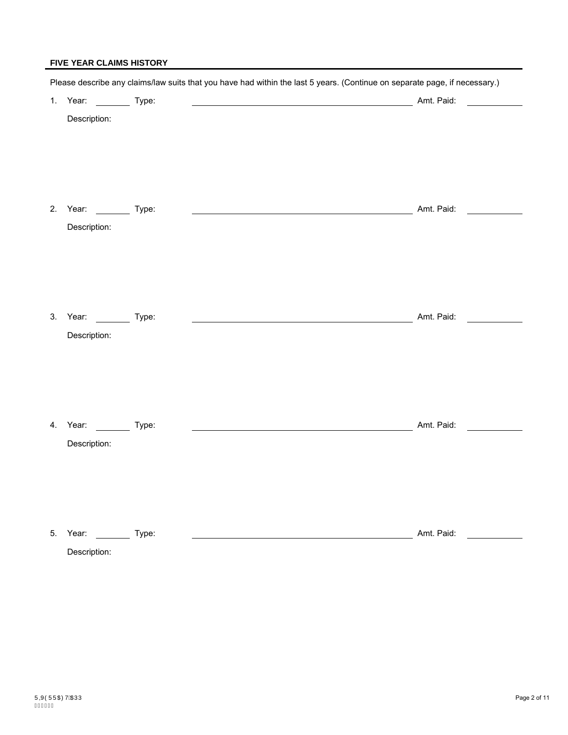## **FIVE YEAR CLAIMS HISTORY**

|                                            | Please describe any claims/law suits that you have had within the last 5 years. (Continue on separate page, if necessary.) |  |
|--------------------------------------------|----------------------------------------------------------------------------------------------------------------------------|--|
| 1. Year: ___________ Type:                 |                                                                                                                            |  |
| Description:                               |                                                                                                                            |  |
| 2. Year: ___________ Type:<br>Description: |                                                                                                                            |  |
| 3. Year: __________ Type:<br>Description:  |                                                                                                                            |  |
| 4. Year: __________ Type:<br>Description:  | Amt. Paid:                                                                                                                 |  |
| 5. Year: __________ Type:                  | Amt. Paid:                                                                                                                 |  |

Description: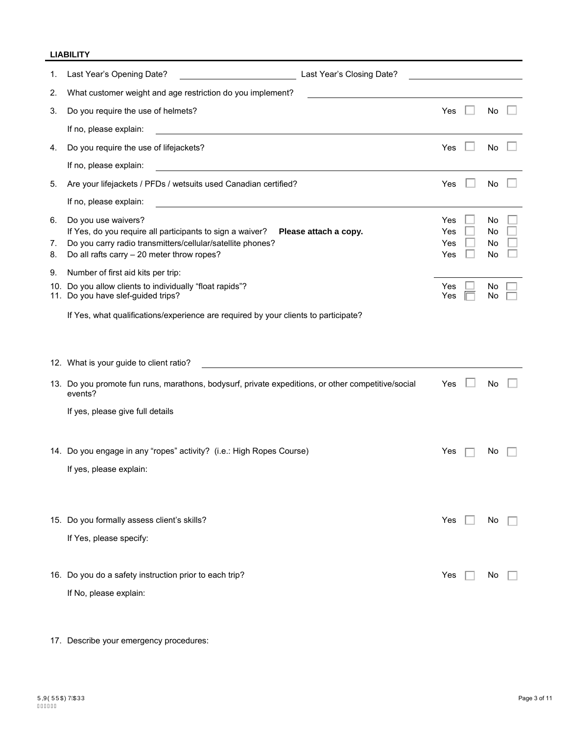## **LIABILITY**

| 1.             | Last Year's Closing Date?<br>Last Year's Opening Date?                                                                                                                                                                |                          |                      |  |
|----------------|-----------------------------------------------------------------------------------------------------------------------------------------------------------------------------------------------------------------------|--------------------------|----------------------|--|
| 2.             | What customer weight and age restriction do you implement?                                                                                                                                                            |                          |                      |  |
| 3.             | Do you require the use of helmets?                                                                                                                                                                                    | Yes                      | No                   |  |
|                | If no, please explain:                                                                                                                                                                                                |                          |                      |  |
| 4.             | Do you require the use of lifejackets?                                                                                                                                                                                | Yes                      | No                   |  |
|                | If no, please explain:                                                                                                                                                                                                |                          |                      |  |
| 5.             | Are your lifejackets / PFDs / wetsuits used Canadian certified?                                                                                                                                                       | Yes                      | No                   |  |
|                | If no, please explain:                                                                                                                                                                                                |                          |                      |  |
| 6.<br>7.<br>8. | Do you use waivers?<br>If Yes, do you require all participants to sign a waiver?<br>Please attach a copy.<br>Do you carry radio transmitters/cellular/satellite phones?<br>Do all rafts carry - 20 meter throw ropes? | Yes<br>Yes<br>Yes<br>Yes | No<br>No<br>No<br>No |  |
| 9.             | Number of first aid kits per trip:                                                                                                                                                                                    |                          |                      |  |
| 10.            | Do you allow clients to individually "float rapids"?<br>11. Do you have slef-guided trips?                                                                                                                            | Yes<br>Yes               | Νo<br>No             |  |
|                | If Yes, what qualifications/experience are required by your clients to participate?                                                                                                                                   |                          |                      |  |
|                | 12. What is your guide to client ratio?                                                                                                                                                                               |                          |                      |  |
|                | 13. Do you promote fun runs, marathons, bodysurf, private expeditions, or other competitive/social<br>events?                                                                                                         | Yes                      | No                   |  |
|                | If yes, please give full details                                                                                                                                                                                      |                          |                      |  |
|                |                                                                                                                                                                                                                       |                          |                      |  |
|                | 14. Do you engage in any "ropes" activity? (i.e.: High Ropes Course)                                                                                                                                                  | Yes                      | Νo                   |  |
|                | If yes, please explain:                                                                                                                                                                                               |                          |                      |  |
|                | 15. Do you formally assess client's skills?                                                                                                                                                                           | Yes                      | N0                   |  |
|                | If Yes, please specify:                                                                                                                                                                                               |                          |                      |  |
|                | 16. Do you do a safety instruction prior to each trip?<br>If No, please explain:                                                                                                                                      | Yes                      | Νo                   |  |

17. Describe your emergency procedures: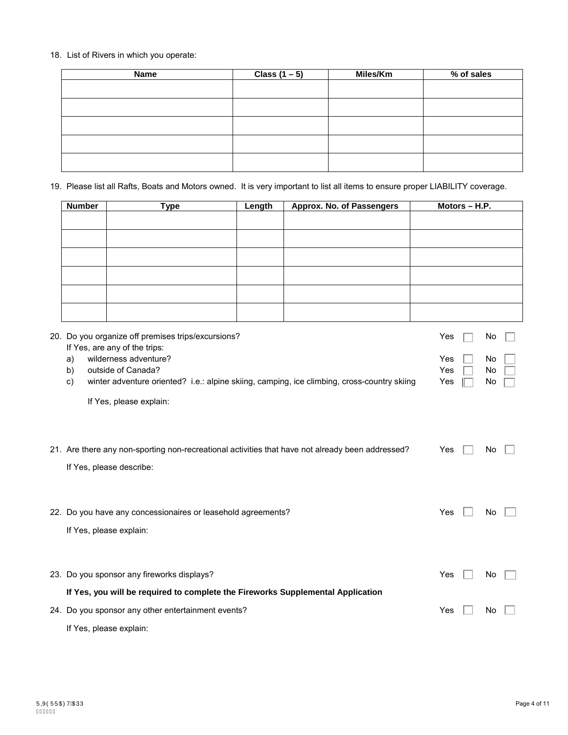## 18. List of Rivers in which you operate:

| <b>Name</b> | Class $(1-5)$ | Miles/Km | % of sales |
|-------------|---------------|----------|------------|
|             |               |          |            |
|             |               |          |            |
|             |               |          |            |
|             |               |          |            |
|             |               |          |            |
|             |               |          |            |
|             |               |          |            |

19. Please list all Rafts, Boats and Motors owned. It is very important to list all items to ensure proper LIABILITY coverage.

| <b>Number</b> | <b>Type</b>                                                                                                       | Length | Approx. No. of Passengers | Motors - H.P. |          |
|---------------|-------------------------------------------------------------------------------------------------------------------|--------|---------------------------|---------------|----------|
|               |                                                                                                                   |        |                           |               |          |
|               |                                                                                                                   |        |                           |               |          |
|               |                                                                                                                   |        |                           |               |          |
|               |                                                                                                                   |        |                           |               |          |
|               |                                                                                                                   |        |                           |               |          |
|               |                                                                                                                   |        |                           |               |          |
|               | 20. Do you organize off premises trips/excursions?<br>If Yes, are any of the trips:                               |        |                           | Yes           | No       |
| a)            | wilderness adventure?                                                                                             |        |                           | Yes           | No       |
| b)<br>C)      | outside of Canada?<br>winter adventure oriented? i.e.: alpine skiing, camping, ice climbing, cross-country skiing |        |                           | Yes<br>Yes    | No<br>No |
|               |                                                                                                                   |        |                           |               |          |
|               | If Yes, please explain:                                                                                           |        |                           |               |          |
|               |                                                                                                                   |        |                           |               |          |
|               | 21. Are there any non-sporting non-recreational activities that have not already been addressed?                  |        |                           | Yes           | No.      |
|               | If Yes, please describe:                                                                                          |        |                           |               |          |
|               |                                                                                                                   |        |                           |               |          |
|               |                                                                                                                   |        |                           |               |          |
|               | 22. Do you have any concessionaires or leasehold agreements?                                                      |        |                           | Yes           | No       |
|               | If Yes, please explain:                                                                                           |        |                           |               |          |
|               |                                                                                                                   |        |                           |               |          |
|               | 23. Do you sponsor any fireworks displays?                                                                        |        |                           | Yes           | No.      |
|               | If Yes, you will be required to complete the Fireworks Supplemental Application                                   |        |                           |               |          |
|               | 24. Do you sponsor any other entertainment events?                                                                |        |                           | Yes           | No       |
|               | If Yes, please explain:                                                                                           |        |                           |               |          |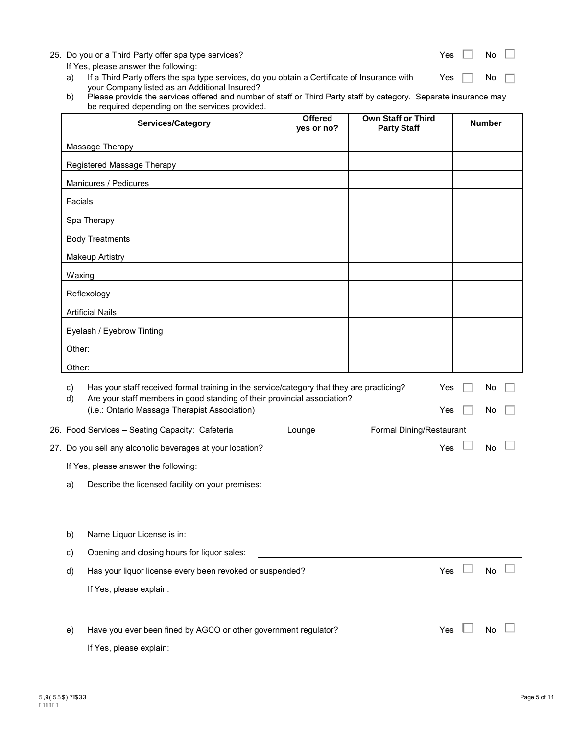| 25. Do you or a Third Party offer spa type services?<br>If Yes, please answer the following:<br>If a Third Party offers the spa type services, do you obtain a Certificate of Insurance with<br>a)<br>your Company listed as an Additional Insured?<br>Please provide the services offered and number of staff or Third Party staff by category. Separate insurance may<br>b)<br>be required depending on the services provided. |                              |                                                 | Yes<br>Yes | No l<br>No    |  |
|----------------------------------------------------------------------------------------------------------------------------------------------------------------------------------------------------------------------------------------------------------------------------------------------------------------------------------------------------------------------------------------------------------------------------------|------------------------------|-------------------------------------------------|------------|---------------|--|
| Services/Category                                                                                                                                                                                                                                                                                                                                                                                                                | <b>Offered</b><br>yes or no? | <b>Own Staff or Third</b><br><b>Party Staff</b> |            | <b>Number</b> |  |
| Massage Therapy                                                                                                                                                                                                                                                                                                                                                                                                                  |                              |                                                 |            |               |  |
| Registered Massage Therapy                                                                                                                                                                                                                                                                                                                                                                                                       |                              |                                                 |            |               |  |
| Manicures / Pedicures                                                                                                                                                                                                                                                                                                                                                                                                            |                              |                                                 |            |               |  |
| Facials                                                                                                                                                                                                                                                                                                                                                                                                                          |                              |                                                 |            |               |  |
| Spa Therapy                                                                                                                                                                                                                                                                                                                                                                                                                      |                              |                                                 |            |               |  |
| <b>Body Treatments</b>                                                                                                                                                                                                                                                                                                                                                                                                           |                              |                                                 |            |               |  |
| <b>Makeup Artistry</b>                                                                                                                                                                                                                                                                                                                                                                                                           |                              |                                                 |            |               |  |
| Waxing                                                                                                                                                                                                                                                                                                                                                                                                                           |                              |                                                 |            |               |  |
| Reflexology                                                                                                                                                                                                                                                                                                                                                                                                                      |                              |                                                 |            |               |  |
| <b>Artificial Nails</b>                                                                                                                                                                                                                                                                                                                                                                                                          |                              |                                                 |            |               |  |
| Eyelash / Eyebrow Tinting                                                                                                                                                                                                                                                                                                                                                                                                        |                              |                                                 |            |               |  |
| Other:                                                                                                                                                                                                                                                                                                                                                                                                                           |                              |                                                 |            |               |  |
| Other:                                                                                                                                                                                                                                                                                                                                                                                                                           |                              |                                                 |            |               |  |
| Has your staff received formal training in the service/category that they are practicing?<br>C)<br>Are your staff members in good standing of their provincial association?<br>d)                                                                                                                                                                                                                                                |                              |                                                 | Yes        | No l          |  |
| (i.e.: Ontario Massage Therapist Association)                                                                                                                                                                                                                                                                                                                                                                                    |                              |                                                 | Yes        | No.           |  |
| 26. Food Services - Seating Capacity: Cafeteria <b>Commission Liberal Commission Commission</b> Formal Dining/Restaurant                                                                                                                                                                                                                                                                                                         |                              |                                                 |            |               |  |
| 27. Do you sell any alcoholic beverages at your location?                                                                                                                                                                                                                                                                                                                                                                        |                              |                                                 | Yes        | <b>No</b>     |  |
| If Yes, please answer the following:                                                                                                                                                                                                                                                                                                                                                                                             |                              |                                                 |            |               |  |
| Describe the licensed facility on your premises:<br>a)                                                                                                                                                                                                                                                                                                                                                                           |                              |                                                 |            |               |  |
|                                                                                                                                                                                                                                                                                                                                                                                                                                  |                              |                                                 |            |               |  |

b) Name Liquor License is in: c) Opening and closing hours for liquor sales: d) Has your liquor license every been revoked or suspended?  $Yes$   $\Box$  No  $\Box$ If Yes, please explain: e) Have you ever been fined by AGCO or other government regulator?  $Yes$   $\Box$  No  $\Box$ 

If Yes, please explain:

 $\Box$ 

 $\Box$ 

 $\Box$ 

П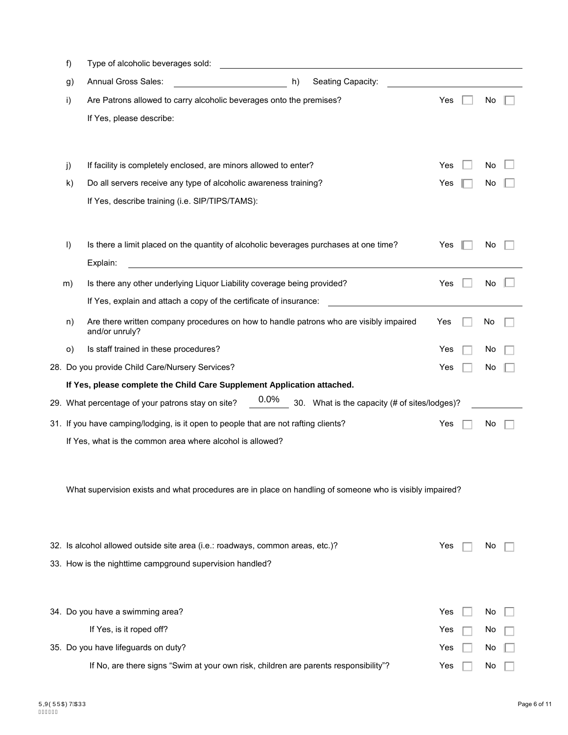| f)      | Type of alcoholic beverages sold:                                                                             |     |    |  |
|---------|---------------------------------------------------------------------------------------------------------------|-----|----|--|
| g)      | Annual Gross Sales:<br>Seating Capacity:<br>h)                                                                |     |    |  |
| i)      | Are Patrons allowed to carry alcoholic beverages onto the premises?                                           | Yes | No |  |
|         | If Yes, please describe:                                                                                      |     |    |  |
|         |                                                                                                               |     |    |  |
| j)      | If facility is completely enclosed, are minors allowed to enter?                                              | Yes | No |  |
| k)      | Do all servers receive any type of alcoholic awareness training?                                              | Yes | No |  |
|         | If Yes, describe training (i.e. SIP/TIPS/TAMS):                                                               |     |    |  |
| $\vert$ | Is there a limit placed on the quantity of alcoholic beverages purchases at one time?<br>Explain:             | Yes | No |  |
| m)      | Is there any other underlying Liquor Liability coverage being provided?                                       | Yes | No |  |
|         | If Yes, explain and attach a copy of the certificate of insurance:                                            |     |    |  |
| n)      | Are there written company procedures on how to handle patrons who are visibly impaired<br>and/or unruly?      | Yes | No |  |
| O)      | Is staff trained in these procedures?                                                                         | Yes | No |  |
|         | 28. Do you provide Child Care/Nursery Services?                                                               | Yes | No |  |
|         | If Yes, please complete the Child Care Supplement Application attached.                                       |     |    |  |
|         | $0.0\%$<br>29. What percentage of your patrons stay on site?<br>30. What is the capacity (# of sites/lodges)? |     |    |  |
|         | 31. If you have camping/lodging, is it open to people that are not rafting clients?                           | Yes | No |  |
|         | If Yes, what is the common area where alcohol is allowed?                                                     |     |    |  |
|         |                                                                                                               |     |    |  |
|         | What supervision exists and what procedures are in place on handling of someone who is visibly impaired?      |     |    |  |
|         | 32. Is alcohol allowed outside site area (i.e.: roadways, common areas, etc.)?                                | Yes | No |  |
|         | 33. How is the nighttime campground supervision handled?                                                      |     |    |  |
|         |                                                                                                               |     |    |  |
|         | 34. Do you have a swimming area?                                                                              | Yes | No |  |
|         | If Yes, is it roped off?                                                                                      | Yes | No |  |
|         | 35. Do you have lifeguards on duty?                                                                           | Yes | No |  |
|         | If No, are there signs "Swim at your own risk, children are parents responsibility"?                          | Yes | No |  |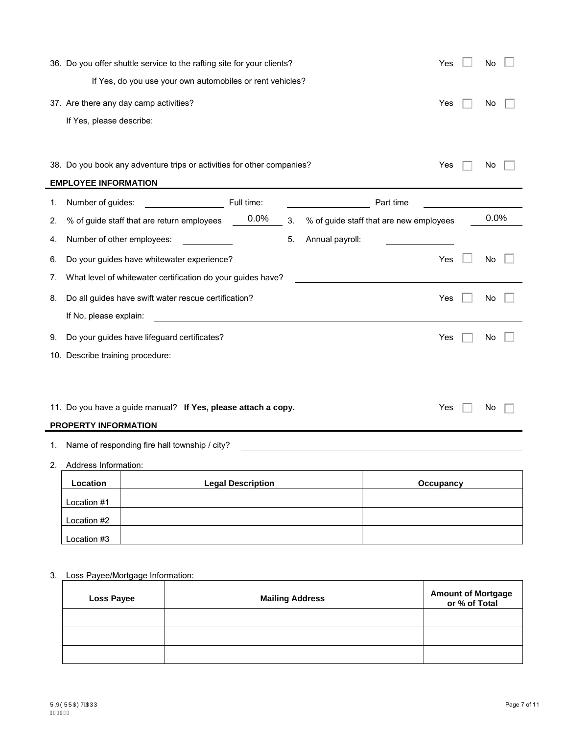|    | 36. Do you offer shuttle service to the rafting site for your clients? |                          |    |                 | Yes                                     | No |      |
|----|------------------------------------------------------------------------|--------------------------|----|-----------------|-----------------------------------------|----|------|
|    | If Yes, do you use your own automobiles or rent vehicles?              |                          |    |                 |                                         |    |      |
|    | 37. Are there any day camp activities?                                 |                          |    |                 | Yes                                     | No |      |
|    | If Yes, please describe:                                               |                          |    |                 |                                         |    |      |
|    |                                                                        |                          |    |                 |                                         |    |      |
|    |                                                                        |                          |    |                 |                                         |    |      |
|    | 38. Do you book any adventure trips or activities for other companies? |                          |    |                 | Yes                                     | No |      |
|    | <b>EMPLOYEE INFORMATION</b>                                            |                          |    |                 |                                         |    |      |
| 1. | Number of guides:                                                      | Full time:               |    |                 | Part time                               |    |      |
| 2. | % of guide staff that are return employees                             | 0.0%                     | 3. |                 | % of guide staff that are new employees |    | 0.0% |
| 4. | Number of other employees:                                             |                          | 5. | Annual payroll: |                                         |    |      |
| 6. | Do your guides have whitewater experience?                             |                          |    |                 | Yes                                     | No |      |
| 7. | What level of whitewater certification do your guides have?            |                          |    |                 |                                         |    |      |
| 8. | Do all guides have swift water rescue certification?                   |                          |    |                 | Yes                                     | No |      |
|    | If No, please explain:                                                 |                          |    |                 |                                         |    |      |
| 9. | Do your guides have lifeguard certificates?                            |                          |    |                 | Yes                                     | No |      |
|    | 10. Describe training procedure:                                       |                          |    |                 |                                         |    |      |
|    |                                                                        |                          |    |                 |                                         |    |      |
|    |                                                                        |                          |    |                 |                                         |    |      |
|    | 11. Do you have a guide manual? If Yes, please attach a copy.          |                          |    |                 | Yes                                     | No |      |
|    | PROPERTY INFORMATION                                                   |                          |    |                 |                                         |    |      |
| 1. | Name of responding fire hall township / city?                          |                          |    |                 |                                         |    |      |
| 2. | Address Information:                                                   |                          |    |                 |                                         |    |      |
|    | Location                                                               | <b>Legal Description</b> |    |                 | Occupancy                               |    |      |
|    |                                                                        |                          |    |                 |                                         |    |      |

| $-$ -------- | <b>EAGHL</b> PASSIBLISH | <b>O</b> |
|--------------|-------------------------|----------|
| Location #1  |                         |          |
| Location #2  |                         |          |
| Location #3  |                         |          |

# 3. Loss Payee/Mortgage Information:

| <b>Loss Payee</b> | <b>Mailing Address</b> | Amount of Mortgage<br>or % of Total |
|-------------------|------------------------|-------------------------------------|
|                   |                        |                                     |
|                   |                        |                                     |
|                   |                        |                                     |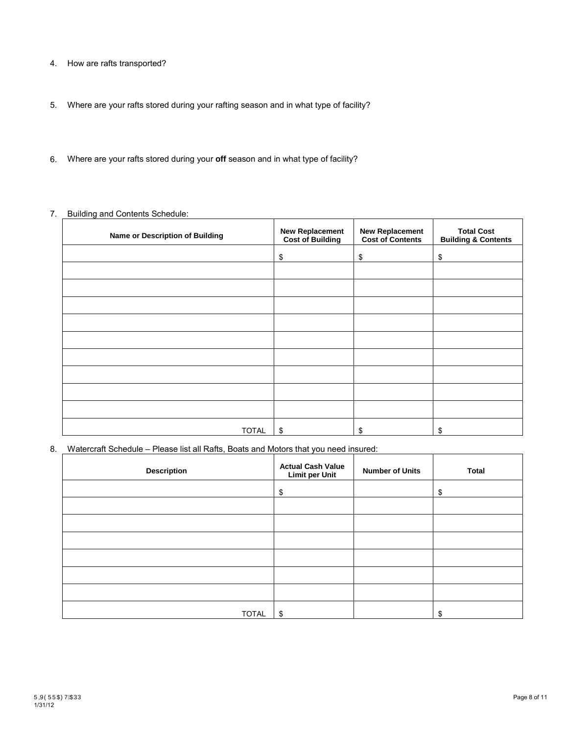- 4. How are rafts transported?
- 5. Where are your rafts stored during your rafting season and in what type of facility?
- 6. Where are your rafts stored during your **off** season and in what type of facility?

### 7. Building and Contents Schedule:

| <b>Name or Description of Building</b> | <b>New Replacement</b><br><b>Cost of Building</b> | <b>New Replacement</b><br><b>Cost of Contents</b> | <b>Total Cost</b><br><b>Building &amp; Contents</b> |
|----------------------------------------|---------------------------------------------------|---------------------------------------------------|-----------------------------------------------------|
|                                        | \$                                                | \$                                                | \$                                                  |
|                                        |                                                   |                                                   |                                                     |
|                                        |                                                   |                                                   |                                                     |
|                                        |                                                   |                                                   |                                                     |
|                                        |                                                   |                                                   |                                                     |
|                                        |                                                   |                                                   |                                                     |
|                                        |                                                   |                                                   |                                                     |
|                                        |                                                   |                                                   |                                                     |
|                                        |                                                   |                                                   |                                                     |
|                                        |                                                   |                                                   |                                                     |
| <b>TOTAL</b>                           | \$                                                | \$                                                | \$                                                  |

8. Watercraft Schedule – Please list all Rafts, Boats and Motors that you need insured:

| <b>Description</b> | <b>Actual Cash Value</b><br><b>Limit per Unit</b> | <b>Number of Units</b> | Total |
|--------------------|---------------------------------------------------|------------------------|-------|
|                    | \$                                                |                        | \$    |
|                    |                                                   |                        |       |
|                    |                                                   |                        |       |
|                    |                                                   |                        |       |
|                    |                                                   |                        |       |
|                    |                                                   |                        |       |
|                    |                                                   |                        |       |
| <b>TOTAL</b>       | \$                                                |                        | \$    |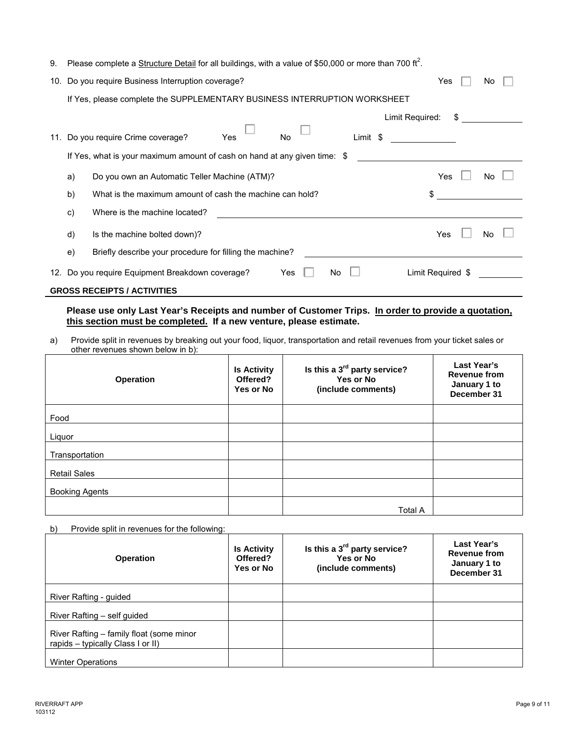| 9. Please complete a Structure Detail for all buildings, with a value of \$50,000 or more than 700 ft <sup>2</sup> . |  |  |  |
|----------------------------------------------------------------------------------------------------------------------|--|--|--|
|                                                                                                                      |  |  |  |

| 10. |                                                                           | Do you require Business Interruption coverage?                            | Yes               | No  |  |  |  |
|-----|---------------------------------------------------------------------------|---------------------------------------------------------------------------|-------------------|-----|--|--|--|
|     | If Yes, please complete the SUPPLEMENTARY BUSINESS INTERRUPTION WORKSHEET |                                                                           |                   |     |  |  |  |
|     |                                                                           | Limit Required:                                                           | S                 |     |  |  |  |
| 11. |                                                                           | Yes<br>Do you require Crime coverage?<br>Limit \$<br>No                   |                   |     |  |  |  |
|     |                                                                           | If Yes, what is your maximum amount of cash on hand at any given time: \$ |                   |     |  |  |  |
|     | a)                                                                        | Do you own an Automatic Teller Machine (ATM)?                             | Yes               | No  |  |  |  |
|     | b)                                                                        | What is the maximum amount of cash the machine can hold?                  | \$                |     |  |  |  |
|     | c)                                                                        | Where is the machine located?                                             |                   |     |  |  |  |
|     | d)                                                                        | Is the machine bolted down)?                                              | Yes               | No. |  |  |  |
|     | e)                                                                        | Briefly describe your procedure for filling the machine?                  |                   |     |  |  |  |
|     |                                                                           | 12. Do you require Equipment Breakdown coverage?<br>Yes<br>No             | Limit Required \$ |     |  |  |  |
|     | <b>GROSS RECEIPTS / ACTIVITIES</b>                                        |                                                                           |                   |     |  |  |  |

**Please use only Last Year's Receipts and number of Customer Trips. In order to provide a quotation, this section must be completed. If a new venture, please estimate.**

a) Provide split in revenues by breaking out your food, liquor, transportation and retail revenues from your ticket sales or other revenues shown below in b):

| Operation             | <b>Is Activity</b><br>Offered?<br>Yes or No | Is this a 3 <sup>rd</sup> party service?<br>Yes or No<br>(include comments) | Last Year's<br><b>Revenue from</b><br>January 1 to<br>December 31 |
|-----------------------|---------------------------------------------|-----------------------------------------------------------------------------|-------------------------------------------------------------------|
| Food                  |                                             |                                                                             |                                                                   |
| Liguor                |                                             |                                                                             |                                                                   |
| Transportation        |                                             |                                                                             |                                                                   |
| <b>Retail Sales</b>   |                                             |                                                                             |                                                                   |
| <b>Booking Agents</b> |                                             |                                                                             |                                                                   |
|                       |                                             | <b>Total A</b>                                                              |                                                                   |

b) Provide split in revenues for the following:

| <b>Operation</b>                                                              | <b>Is Activity</b><br>Offered?<br>Yes or No | Is this a $3^{\text{rd}}$ party service?<br>Yes or No<br>(include comments) | Last Year's<br><b>Revenue from</b><br>January 1 to<br>December 31 |
|-------------------------------------------------------------------------------|---------------------------------------------|-----------------------------------------------------------------------------|-------------------------------------------------------------------|
| River Rafting - guided                                                        |                                             |                                                                             |                                                                   |
| River Rafting - self guided                                                   |                                             |                                                                             |                                                                   |
| River Rafting - family float (some minor<br>rapids - typically Class I or II) |                                             |                                                                             |                                                                   |
| <b>Winter Operations</b>                                                      |                                             |                                                                             |                                                                   |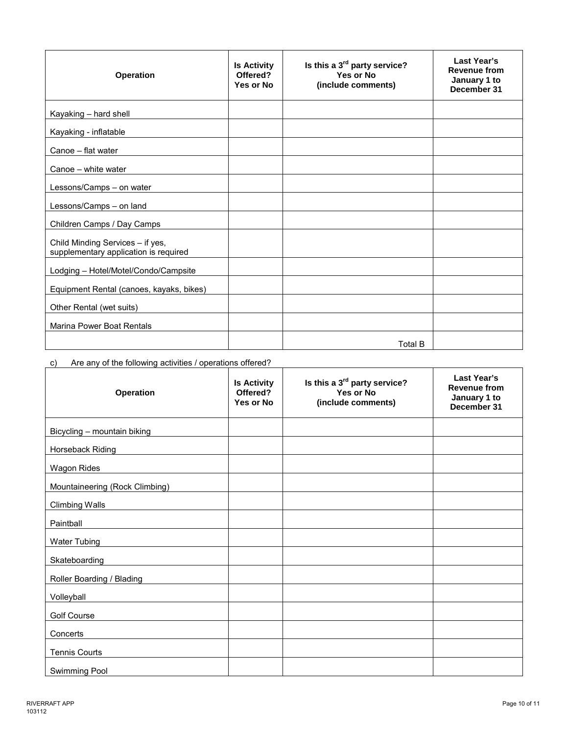| <b>Operation</b>                                                          | <b>Is Activity</b><br>Offered?<br>Yes or No | Is this a $3^{\text{rd}}$ party service?<br>Yes or No<br>(include comments) | Last Year's<br><b>Revenue from</b><br>January 1 to<br>December 31 |
|---------------------------------------------------------------------------|---------------------------------------------|-----------------------------------------------------------------------------|-------------------------------------------------------------------|
| Kayaking - hard shell                                                     |                                             |                                                                             |                                                                   |
| Kayaking - inflatable                                                     |                                             |                                                                             |                                                                   |
| Canoe - flat water                                                        |                                             |                                                                             |                                                                   |
| Canoe - white water                                                       |                                             |                                                                             |                                                                   |
| Lessons/Camps - on water                                                  |                                             |                                                                             |                                                                   |
| Lessons/Camps - on land                                                   |                                             |                                                                             |                                                                   |
| Children Camps / Day Camps                                                |                                             |                                                                             |                                                                   |
| Child Minding Services - if yes,<br>supplementary application is required |                                             |                                                                             |                                                                   |
| Lodging - Hotel/Motel/Condo/Campsite                                      |                                             |                                                                             |                                                                   |
| Equipment Rental (canoes, kayaks, bikes)                                  |                                             |                                                                             |                                                                   |
| Other Rental (wet suits)                                                  |                                             |                                                                             |                                                                   |
| <b>Marina Power Boat Rentals</b>                                          |                                             |                                                                             |                                                                   |
|                                                                           |                                             | <b>Total B</b>                                                              |                                                                   |

## c) Are any of the following activities / operations offered?

| Operation                      | <b>Is Activity</b><br>Offered?<br>Yes or No | Is this a 3 <sup>rd</sup> party service?<br>Yes or No<br>(include comments) | Last Year's<br><b>Revenue from</b><br>January 1 to<br>December 31 |
|--------------------------------|---------------------------------------------|-----------------------------------------------------------------------------|-------------------------------------------------------------------|
| Bicycling - mountain biking    |                                             |                                                                             |                                                                   |
| Horseback Riding               |                                             |                                                                             |                                                                   |
| <b>Wagon Rides</b>             |                                             |                                                                             |                                                                   |
| Mountaineering (Rock Climbing) |                                             |                                                                             |                                                                   |
| <b>Climbing Walls</b>          |                                             |                                                                             |                                                                   |
| Paintball                      |                                             |                                                                             |                                                                   |
| Water Tubing                   |                                             |                                                                             |                                                                   |
| Skateboarding                  |                                             |                                                                             |                                                                   |
| Roller Boarding / Blading      |                                             |                                                                             |                                                                   |
| Volleyball                     |                                             |                                                                             |                                                                   |
| <b>Golf Course</b>             |                                             |                                                                             |                                                                   |
| Concerts                       |                                             |                                                                             |                                                                   |
| <b>Tennis Courts</b>           |                                             |                                                                             |                                                                   |
| Swimming Pool                  |                                             |                                                                             |                                                                   |